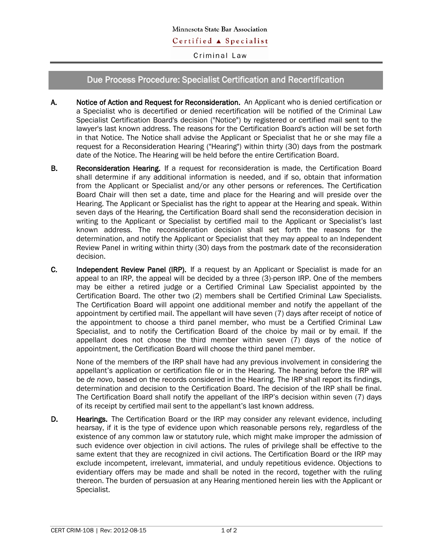Criminal Law

## Due Process Procedure: Specialist Certification and Recertification

- A. Notice of Action and Request for Reconsideration. An Applicant who is denied certification or a Specialist who is decertified or denied recertification will be notified of the Criminal Law Specialist Certification Board's decision ("Notice") by registered or certified mail sent to the lawyer's last known address. The reasons for the Certification Board's action will be set forth in that Notice. The Notice shall advise the Applicant or Specialist that he or she may file a request for a Reconsideration Hearing ("Hearing") within thirty (30) days from the postmark date of the Notice. The Hearing will be held before the entire Certification Board.
- B. Reconsideration Hearing. If a request for reconsideration is made, the Certification Board shall determine if any additional information is needed, and if so, obtain that information from the Applicant or Specialist and/or any other persons or references. The Certification Board Chair will then set a date, time and place for the Hearing and will preside over the Hearing. The Applicant or Specialist has the right to appear at the Hearing and speak. Within seven days of the Hearing, the Certification Board shall send the reconsideration decision in writing to the Applicant or Specialist by certified mail to the Applicant or Specialist's last known address. The reconsideration decision shall set forth the reasons for the determination, and notify the Applicant or Specialist that they may appeal to an Independent Review Panel in writing within thirty (30) days from the postmark date of the reconsideration decision.
- C. Independent Review Panel (IRP). If a request by an Applicant or Specialist is made for an appeal to an IRP, the appeal will be decided by a three (3)-person IRP. One of the members may be either a retired judge or a Certified Criminal Law Specialist appointed by the Certification Board. The other two (2) members shall be Certified Criminal Law Specialists. The Certification Board will appoint one additional member and notify the appellant of the appointment by certified mail. The appellant will have seven (7) days after receipt of notice of the appointment to choose a third panel member, who must be a Certified Criminal Law Specialist, and to notify the Certification Board of the choice by mail or by email. If the appellant does not choose the third member within seven (7) days of the notice of appointment, the Certification Board will choose the third panel member.

None of the members of the IRP shall have had any previous involvement in considering the appellant's application or certification file or in the Hearing. The hearing before the IRP will be *de novo*, based on the records considered in the Hearing. The IRP shall report its findings, determination and decision to the Certification Board. The decision of the IRP shall be final. The Certification Board shall notify the appellant of the IRP's decision within seven (7) days of its receipt by certified mail sent to the appellant's last known address.

D. Hearings. The Certification Board or the IRP may consider any relevant evidence, including hearsay, if it is the type of evidence upon which reasonable persons rely, regardless of the existence of any common law or statutory rule, which might make improper the admission of such evidence over objection in civil actions. The rules of privilege shall be effective to the same extent that they are recognized in civil actions. The Certification Board or the IRP may exclude incompetent, irrelevant, immaterial, and unduly repetitious evidence. Objections to evidentiary offers may be made and shall be noted in the record, together with the ruling thereon. The burden of persuasion at any Hearing mentioned herein lies with the Applicant or Specialist.